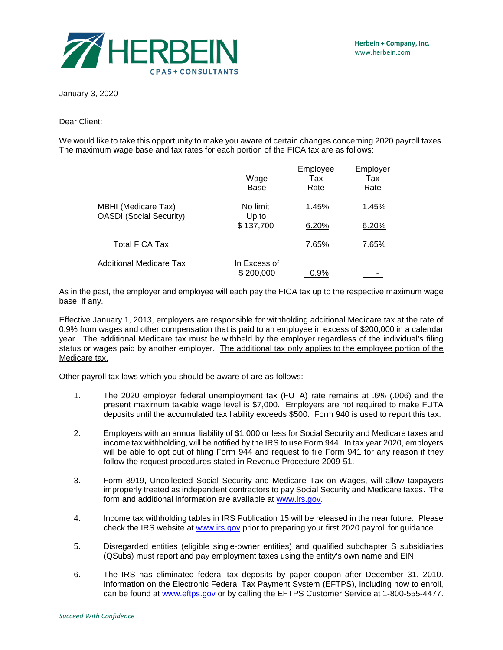

January 3, 2020

Dear Client:

We would like to take this opportunity to make you aware of certain changes concerning 2020 payroll taxes. The maximum wage base and tax rates for each portion of the FICA tax are as follows:

|                                                       | Wage<br>Base              | Employee<br>Tax<br><u>Rate</u> | Employer<br>Tax<br><u>Rate</u> |
|-------------------------------------------------------|---------------------------|--------------------------------|--------------------------------|
| MBHI (Medicare Tax)<br><b>OASDI</b> (Social Security) | No limit<br>Up to         | 1.45%                          | 1.45%                          |
|                                                       | \$137,700                 | 6.20%                          | 6.20%                          |
| <b>Total FICA Tax</b>                                 |                           | 7.65%                          | 7.65%                          |
| Additional Medicare Tax                               | In Excess of<br>\$200,000 | $0.9\%$                        |                                |

As in the past, the employer and employee will each pay the FICA tax up to the respective maximum wage base, if any.

Effective January 1, 2013, employers are responsible for withholding additional Medicare tax at the rate of 0.9% from wages and other compensation that is paid to an employee in excess of \$200,000 in a calendar year. The additional Medicare tax must be withheld by the employer regardless of the individual's filing status or wages paid by another employer. The additional tax only applies to the employee portion of the Medicare tax.

Other payroll tax laws which you should be aware of are as follows:

- 1. The 2020 employer federal unemployment tax (FUTA) rate remains at .6% (.006) and the present maximum taxable wage level is \$7,000. Employers are not required to make FUTA deposits until the accumulated tax liability exceeds \$500. Form 940 is used to report this tax.
- 2. Employers with an annual liability of \$1,000 or less for Social Security and Medicare taxes and income tax withholding, will be notified by the IRS to use Form 944. In tax year 2020, employers will be able to opt out of filing Form 944 and request to file Form 941 for any reason if they follow the request procedures stated in Revenue Procedure 2009-51.
- 3. Form 8919, Uncollected Social Security and Medicare Tax on Wages, will allow taxpayers improperly treated as independent contractors to pay Social Security and Medicare taxes. The form and additional information are available at [www.irs.gov.](http://www.irs.gov/)
- 4. Income tax withholding tables in IRS Publication 15 will be released in the near future. Please check the IRS website at [www.irs.gov](http://www.irs.gov/) prior to preparing your first 2020 payroll for guidance.
- 5. Disregarded entities (eligible single-owner entities) and qualified subchapter S subsidiaries (QSubs) must report and pay employment taxes using the entity's own name and EIN.
- 6. The IRS has eliminated federal tax deposits by paper coupon after December 31, 2010. Information on the Electronic Federal Tax Payment System (EFTPS), including how to enroll, can be found at [www.eftps.gov](https://www.eftps.gov/eftps) or by calling the EFTPS Customer Service at 1-800-555-4477.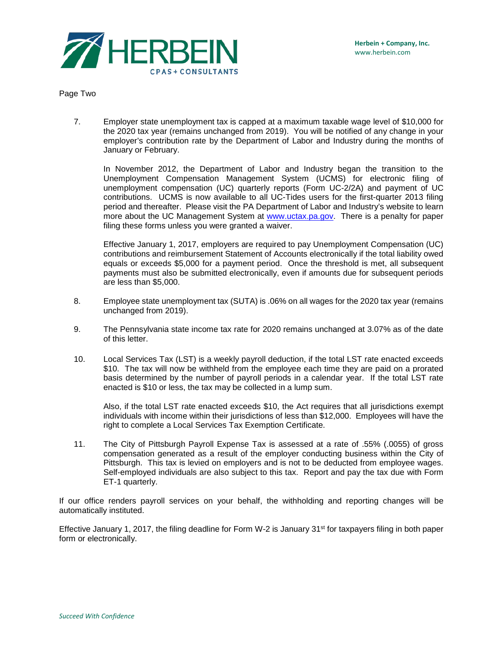

Page Two

7. Employer state unemployment tax is capped at a maximum taxable wage level of \$10,000 for the 2020 tax year (remains unchanged from 2019). You will be notified of any change in your employer's contribution rate by the Department of Labor and Industry during the months of January or February.

In November 2012, the Department of Labor and Industry began the transition to the Unemployment Compensation Management System (UCMS) for electronic filing of unemployment compensation (UC) quarterly reports (Form UC-2/2A) and payment of UC contributions. UCMS is now available to all UC-Tides users for the first-quarter 2013 filing period and thereafter. Please visit the PA Department of Labor and Industry's website to learn more about the UC Management System at [www.uctax.pa.gov.](http://www.uctax.pa.gov/) There is a penalty for paper filing these forms unless you were granted a waiver.

Effective January 1, 2017, employers are required to pay Unemployment Compensation (UC) contributions and reimbursement Statement of Accounts electronically if the total liability owed equals or exceeds \$5,000 for a payment period. Once the threshold is met, all subsequent payments must also be submitted electronically, even if amounts due for subsequent periods are less than \$5,000.

- 8. Employee state unemployment tax (SUTA) is .06% on all wages for the 2020 tax year (remains unchanged from 2019).
- 9. The Pennsylvania state income tax rate for 2020 remains unchanged at 3.07% as of the date of this letter.
- 10. Local Services Tax (LST) is a weekly payroll deduction, if the total LST rate enacted exceeds \$10. The tax will now be withheld from the employee each time they are paid on a prorated basis determined by the number of payroll periods in a calendar year. If the total LST rate enacted is \$10 or less, the tax may be collected in a lump sum.

Also, if the total LST rate enacted exceeds \$10, the Act requires that all jurisdictions exempt individuals with income within their jurisdictions of less than \$12,000. Employees will have the right to complete a Local Services Tax Exemption Certificate.

11. The City of Pittsburgh Payroll Expense Tax is assessed at a rate of .55% (.0055) of gross compensation generated as a result of the employer conducting business within the City of Pittsburgh. This tax is levied on employers and is not to be deducted from employee wages. Self-employed individuals are also subject to this tax. Report and pay the tax due with Form ET-1 quarterly.

If our office renders payroll services on your behalf, the withholding and reporting changes will be automatically instituted.

Effective January 1, 2017, the filing deadline for Form W-2 is January 31st for taxpayers filing in both paper form or electronically.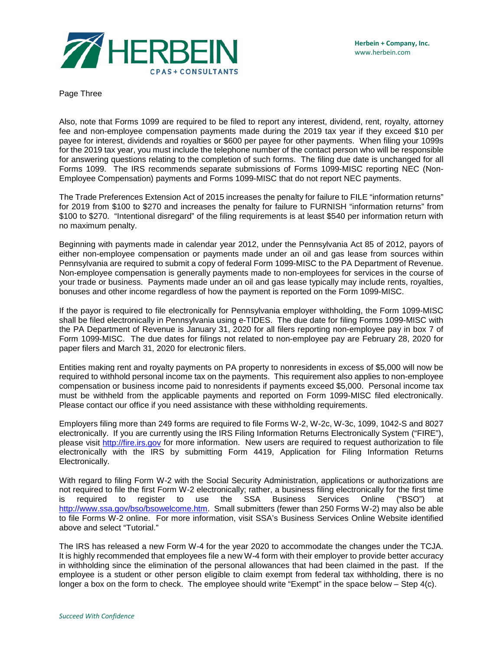

Page Three

Also, note that Forms 1099 are required to be filed to report any interest, dividend, rent, royalty, attorney fee and non-employee compensation payments made during the 2019 tax year if they exceed \$10 per payee for interest, dividends and royalties or \$600 per payee for other payments. When filing your 1099s for the 2019 tax year, you must include the telephone number of the contact person who will be responsible for answering questions relating to the completion of such forms. The filing due date is unchanged for all Forms 1099. The IRS recommends separate submissions of Forms 1099-MISC reporting NEC (Non-Employee Compensation) payments and Forms 1099-MISC that do not report NEC payments.

The Trade Preferences Extension Act of 2015 increases the penalty for failure to FILE "information returns" for 2019 from \$100 to \$270 and increases the penalty for failure to FURNISH "information returns" from \$100 to \$270. "Intentional disregard" of the filing requirements is at least \$540 per information return with no maximum penalty.

Beginning with payments made in calendar year 2012, under the Pennsylvania Act 85 of 2012, payors of either non-employee compensation or payments made under an oil and gas lease from sources within Pennsylvania are required to submit a copy of federal Form 1099-MISC to the PA Department of Revenue. Non-employee compensation is generally payments made to non-employees for services in the course of your trade or business. Payments made under an oil and gas lease typically may include rents, royalties, bonuses and other income regardless of how the payment is reported on the Form 1099-MISC.

If the payor is required to file electronically for Pennsylvania employer withholding, the Form 1099-MISC shall be filed electronically in Pennsylvania using e-TIDES. The due date for filing Forms 1099-MISC with the PA Department of Revenue is January 31, 2020 for all filers reporting non-employee pay in box 7 of Form 1099-MISC. The due dates for filings not related to non-employee pay are February 28, 2020 for paper filers and March 31, 2020 for electronic filers.

Entities making rent and royalty payments on PA property to nonresidents in excess of \$5,000 will now be required to withhold personal income tax on the payments. This requirement also applies to non-employee compensation or business income paid to nonresidents if payments exceed \$5,000. Personal income tax must be withheld from the applicable payments and reported on Form 1099-MISC filed electronically. Please contact our office if you need assistance with these withholding requirements.

Employers filing more than 249 forms are required to file Forms W-2, W-2c, W-3c, 1099, 1042-S and 8027 electronically. If you are currently using the IRS Filing Information Returns Electronically System ("FIRE"), please visit [http://fire.irs.gov](https://fire.irs.gov/) for more information. New users are required to request authorization to file electronically with the IRS by submitting Form 4419, Application for Filing Information Returns Electronically.

With regard to filing Form W-2 with the Social Security Administration, applications or authorizations are not required to file the first Form W-2 electronically; rather, a business filing electronically for the first time is required to register to use the SSA Business Services Online ("BSO") at [http://www.ssa.gov/bso/bsowelcome.htm.](http://www.ssa.gov/bso/bsowelcome.htm) Small submitters (fewer than 250 Forms W-2) may also be able to file Forms W-2 online. For more information, visit SSA's Business Services Online Website identified above and select "Tutorial."

The IRS has released a new Form W-4 for the year 2020 to accommodate the changes under the TCJA. It is highly recommended that employees file a new W-4 form with their employer to provide better accuracy in withholding since the elimination of the personal allowances that had been claimed in the past. If the employee is a student or other person eligible to claim exempt from federal tax withholding, there is no longer a box on the form to check. The employee should write "Exempt" in the space below – Step 4(c).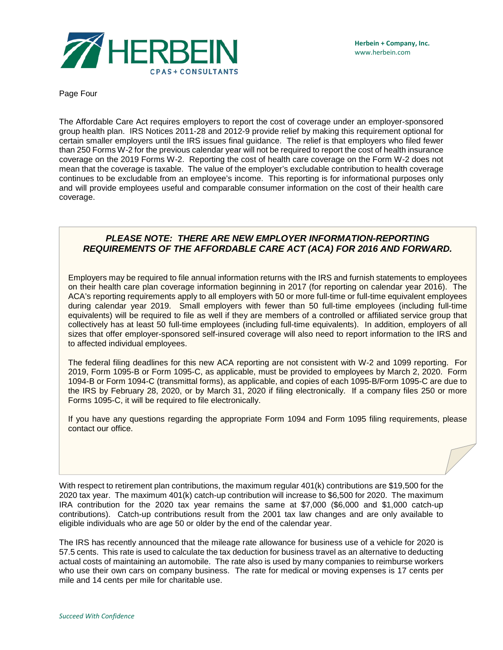

Page Four

The Affordable Care Act requires employers to report the cost of coverage under an employer-sponsored group health plan. IRS Notices 2011-28 and 2012-9 provide relief by making this requirement optional for certain smaller employers until the IRS issues final guidance. The relief is that employers who filed fewer than 250 Forms W-2 for the previous calendar year will not be required to report the cost of health insurance coverage on the 2019 Forms W-2. Reporting the cost of health care coverage on the Form W-2 does not mean that the coverage is taxable. The value of the employer's excludable contribution to health coverage continues to be excludable from an employee's income. This reporting is for informational purposes only and will provide employees useful and comparable consumer information on the cost of their health care coverage.

## *PLEASE NOTE: THERE ARE NEW EMPLOYER INFORMATION-REPORTING REQUIREMENTS OF THE AFFORDABLE CARE ACT (ACA) FOR 2016 AND FORWARD.*

Employers may be required to file annual information returns with the IRS and furnish statements to employees on their health care plan coverage information beginning in 2017 (for reporting on calendar year 2016). The ACA's reporting requirements apply to all employers with 50 or more full-time or full-time equivalent employees during calendar year 2019. Small employers with fewer than 50 full-time employees (including full-time equivalents) will be required to file as well if they are members of a controlled or affiliated service group that collectively has at least 50 full-time employees (including full-time equivalents). In addition, employers of all sizes that offer employer-sponsored self-insured coverage will also need to report information to the IRS and to affected individual employees.

The federal filing deadlines for this new ACA reporting are not consistent with W-2 and 1099 reporting. For 2019, Form 1095-B or Form 1095-C, as applicable, must be provided to employees by March 2, 2020. Form 1094-B or Form 1094-C (transmittal forms), as applicable, and copies of each 1095-B/Form 1095-C are due to the IRS by February 28, 2020, or by March 31, 2020 if filing electronically. If a company files 250 or more Forms 1095-C, it will be required to file electronically.

If you have any questions regarding the appropriate Form 1094 and Form 1095 filing requirements, please contact our office.

With respect to retirement plan contributions, the maximum regular 401(k) contributions are \$19,500 for the 2020 tax year. The maximum 401(k) catch-up contribution will increase to \$6,500 for 2020. The maximum IRA contribution for the 2020 tax year remains the same at \$7,000 (\$6,000 and \$1,000 catch-up contributions). Catch-up contributions result from the 2001 tax law changes and are only available to eligible individuals who are age 50 or older by the end of the calendar year.

The IRS has recently announced that the mileage rate allowance for business use of a vehicle for 2020 is 57.5 cents. This rate is used to calculate the tax deduction for business travel as an alternative to deducting actual costs of maintaining an automobile. The rate also is used by many companies to reimburse workers who use their own cars on company business. The rate for medical or moving expenses is 17 cents per mile and 14 cents per mile for charitable use.